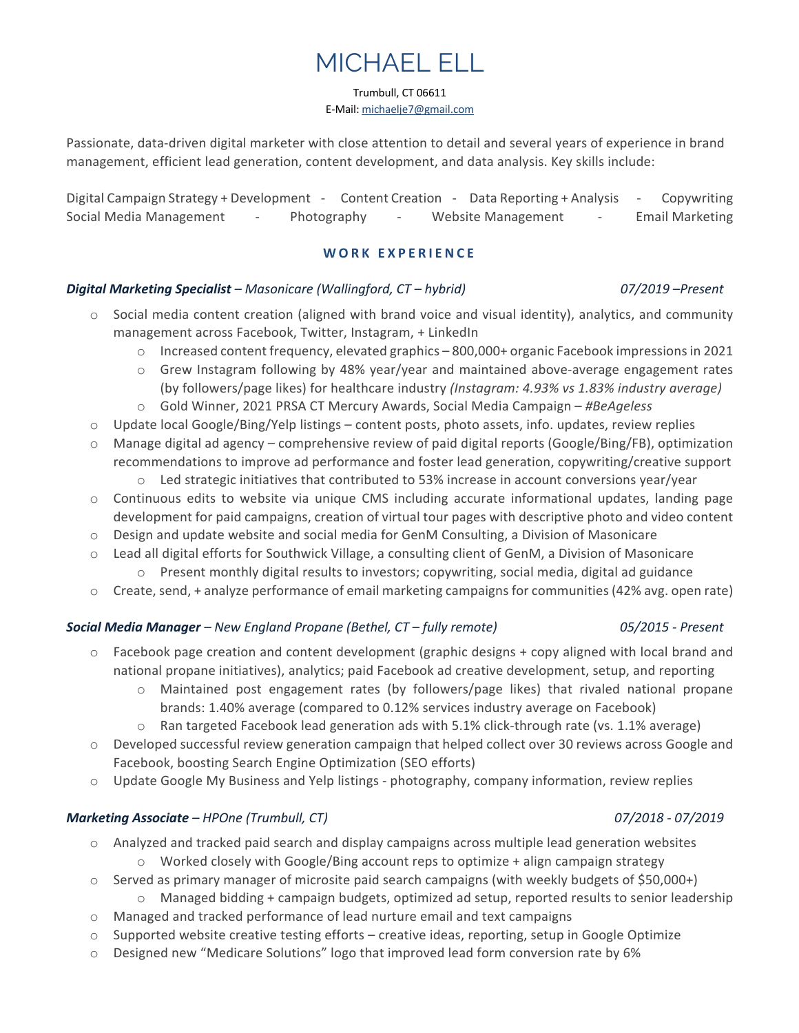# MICHAEL ELL

Trumbull, CT 06611

E-Mail: michaelje7@gmail.com

Passionate, data-driven digital marketer with close attention to detail and several years of experience in brand management, efficient lead generation, content development, and data analysis. Key skills include:

Digital Campaign Strategy + Development - Content Creation - Data Reporting + Analysis - Copywriting Social Media Management - Photography - Website Management - Email Marketing

# **WORK EXPERIENCE**

# *Digital Marketing Specialist – Masonicare (Wallingford, CT – hybrid) 07/2019 –Present*

- $\circ$  Social media content creation (aligned with brand voice and visual identity), analytics, and community management across Facebook, Twitter, Instagram, + LinkedIn
	- o Increased content frequency, elevated graphics 800,000+ organic Facebook impressions in 2021
	- o Grew Instagram following by 48% year/year and maintained above-average engagement rates (by followers/page likes) for healthcare industry *(Instagram: 4.93% vs 1.83% industry average)*
	- o Gold Winner, 2021 PRSA CT Mercury Awards, Social Media Campaign *#BeAgeless*
- $\circ$  Update local Google/Bing/Yelp listings content posts, photo assets, info. updates, review replies
- o Manage digital ad agency comprehensive review of paid digital reports (Google/Bing/FB), optimization recommendations to improve ad performance and foster lead generation, copywriting/creative support
	- o Led strategic initiatives that contributed to 53% increase in account conversions year/year
- $\circ$  Continuous edits to website via unique CMS including accurate informational updates, landing page development for paid campaigns, creation of virtual tour pages with descriptive photo and video content
- o Design and update website and social media for GenM Consulting, a Division of Masonicare
- o Lead all digital efforts for Southwick Village, a consulting client of GenM, a Division of Masonicare o Present monthly digital results to investors; copywriting, social media, digital ad guidance
- o Create, send, + analyze performance of email marketing campaigns for communities (42% avg. open rate)

# *Social Media Manager – New England Propane (Bethel, CT – fully remote) 05/2015 - Present*

- $\circ$  Facebook page creation and content development (graphic designs + copy aligned with local brand and national propane initiatives), analytics; paid Facebook ad creative development, setup, and reporting
	- o Maintained post engagement rates (by followers/page likes) that rivaled national propane brands: 1.40% average (compared to 0.12% services industry average on Facebook)
	- $\circ$  Ran targeted Facebook lead generation ads with 5.1% click-through rate (vs. 1.1% average)
- o Developed successful review generation campaign that helped collect over 30 reviews across Google and Facebook, boosting Search Engine Optimization (SEO efforts)
- o Update Google My Business and Yelp listings photography, company information, review replies

# *Marketing Associate – HPOne (Trumbull, CT) 07/2018 - 07/2019*

- $\circ$  Analyzed and tracked paid search and display campaigns across multiple lead generation websites  $\circ$  Worked closely with Google/Bing account reps to optimize + align campaign strategy
- o Served as primary manager of microsite paid search campaigns (with weekly budgets of \$50,000+)  $\circ$  Managed bidding + campaign budgets, optimized ad setup, reported results to senior leadership
- $\circ$  Managed and tracked performance of lead nurture email and text campaigns
- $\circ$  Supported website creative testing efforts creative ideas, reporting, setup in Google Optimize
- $\circ$  Designed new "Medicare Solutions" logo that improved lead form conversion rate by 6%